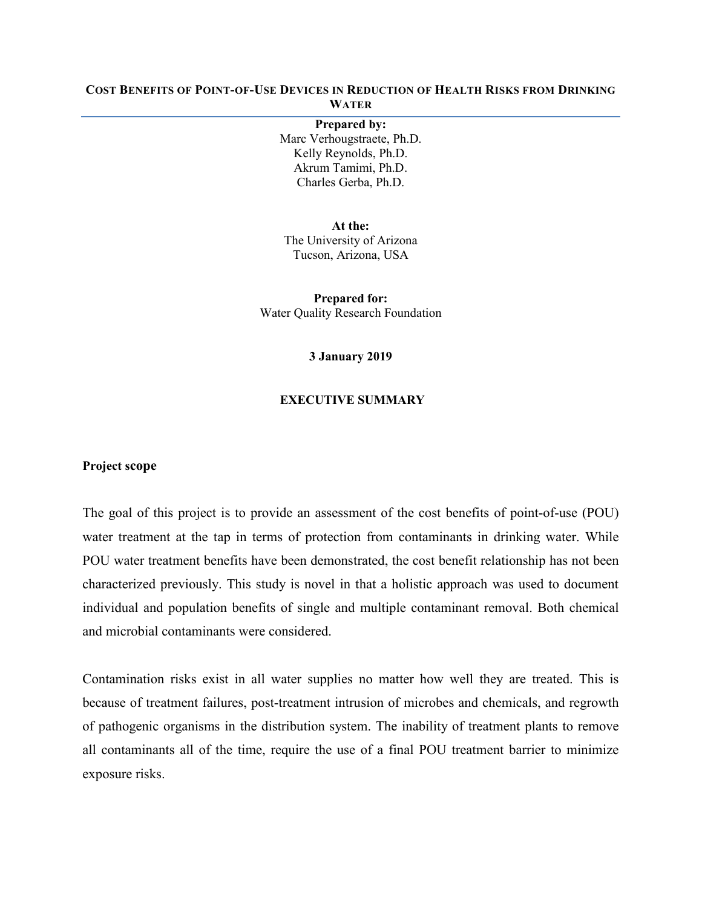## **COST BENEFITS OF POINT-OF-USE DEVICES IN REDUCTION OF HEALTH RISKS FROM DRINKING WATER**

#### **Prepared by:**

Marc Verhougstraete, Ph.D. Kelly Reynolds, Ph.D. Akrum Tamimi, Ph.D. Charles Gerba, Ph.D.

**At the:**  The University of Arizona Tucson, Arizona, USA

**Prepared for:** Water Quality Research Foundation

#### **3 January 2019**

### **EXECUTIVE SUMMARY**

## **Project scope**

The goal of this project is to provide an assessment of the cost benefits of point-of-use (POU) water treatment at the tap in terms of protection from contaminants in drinking water. While POU water treatment benefits have been demonstrated, the cost benefit relationship has not been characterized previously. This study is novel in that a holistic approach was used to document individual and population benefits of single and multiple contaminant removal. Both chemical and microbial contaminants were considered.

Contamination risks exist in all water supplies no matter how well they are treated. This is because of treatment failures, post-treatment intrusion of microbes and chemicals, and regrowth of pathogenic organisms in the distribution system. The inability of treatment plants to remove all contaminants all of the time, require the use of a final POU treatment barrier to minimize exposure risks.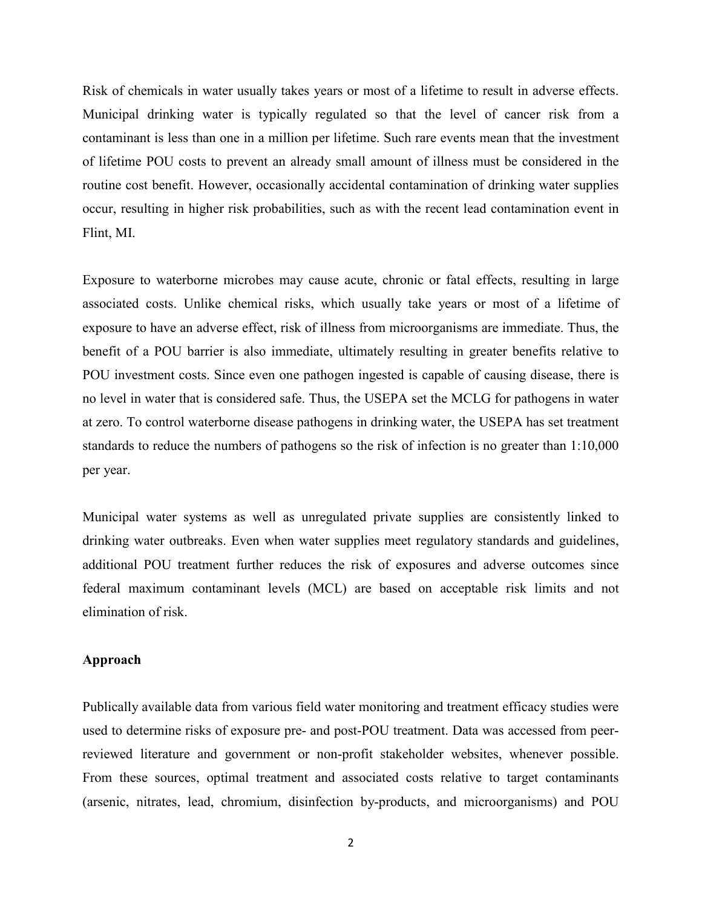Risk of chemicals in water usually takes years or most of a lifetime to result in adverse effects. Municipal drinking water is typically regulated so that the level of cancer risk from a contaminant is less than one in a million per lifetime. Such rare events mean that the investment of lifetime POU costs to prevent an already small amount of illness must be considered in the routine cost benefit. However, occasionally accidental contamination of drinking water supplies occur, resulting in higher risk probabilities, such as with the recent lead contamination event in Flint, MI.

Exposure to waterborne microbes may cause acute, chronic or fatal effects, resulting in large associated costs. Unlike chemical risks, which usually take years or most of a lifetime of exposure to have an adverse effect, risk of illness from microorganisms are immediate. Thus, the benefit of a POU barrier is also immediate, ultimately resulting in greater benefits relative to POU investment costs. Since even one pathogen ingested is capable of causing disease, there is no level in water that is considered safe. Thus, the USEPA set the MCLG for pathogens in water at zero. To control waterborne disease pathogens in drinking water, the USEPA has set treatment standards to reduce the numbers of pathogens so the risk of infection is no greater than 1:10,000 per year.

Municipal water systems as well as unregulated private supplies are consistently linked to drinking water outbreaks. Even when water supplies meet regulatory standards and guidelines, additional POU treatment further reduces the risk of exposures and adverse outcomes since federal maximum contaminant levels (MCL) are based on acceptable risk limits and not elimination of risk.

## **Approach**

Publically available data from various field water monitoring and treatment efficacy studies were used to determine risks of exposure pre- and post-POU treatment. Data was accessed from peerreviewed literature and government or non-profit stakeholder websites, whenever possible. From these sources, optimal treatment and associated costs relative to target contaminants (arsenic, nitrates, lead, chromium, disinfection by-products, and microorganisms) and POU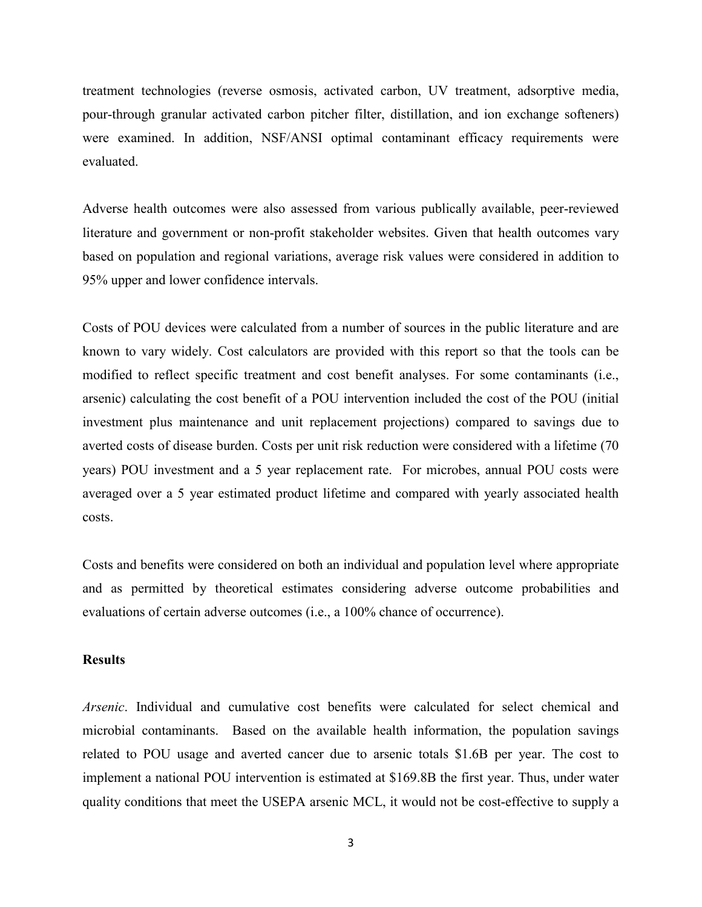treatment technologies (reverse osmosis, activated carbon, UV treatment, adsorptive media, pour-through granular activated carbon pitcher filter, distillation, and ion exchange softeners) were examined. In addition, NSF/ANSI optimal contaminant efficacy requirements were evaluated.

Adverse health outcomes were also assessed from various publically available, peer-reviewed literature and government or non-profit stakeholder websites. Given that health outcomes vary based on population and regional variations, average risk values were considered in addition to 95% upper and lower confidence intervals.

Costs of POU devices were calculated from a number of sources in the public literature and are known to vary widely. Cost calculators are provided with this report so that the tools can be modified to reflect specific treatment and cost benefit analyses. For some contaminants (i.e., arsenic) calculating the cost benefit of a POU intervention included the cost of the POU (initial investment plus maintenance and unit replacement projections) compared to savings due to averted costs of disease burden. Costs per unit risk reduction were considered with a lifetime (70 years) POU investment and a 5 year replacement rate. For microbes, annual POU costs were averaged over a 5 year estimated product lifetime and compared with yearly associated health costs.

Costs and benefits were considered on both an individual and population level where appropriate and as permitted by theoretical estimates considering adverse outcome probabilities and evaluations of certain adverse outcomes (i.e., a 100% chance of occurrence).

## **Results**

*Arsenic*. Individual and cumulative cost benefits were calculated for select chemical and microbial contaminants. Based on the available health information, the population savings related to POU usage and averted cancer due to arsenic totals \$1.6B per year. The cost to implement a national POU intervention is estimated at \$169.8B the first year. Thus, under water quality conditions that meet the USEPA arsenic MCL, it would not be cost-effective to supply a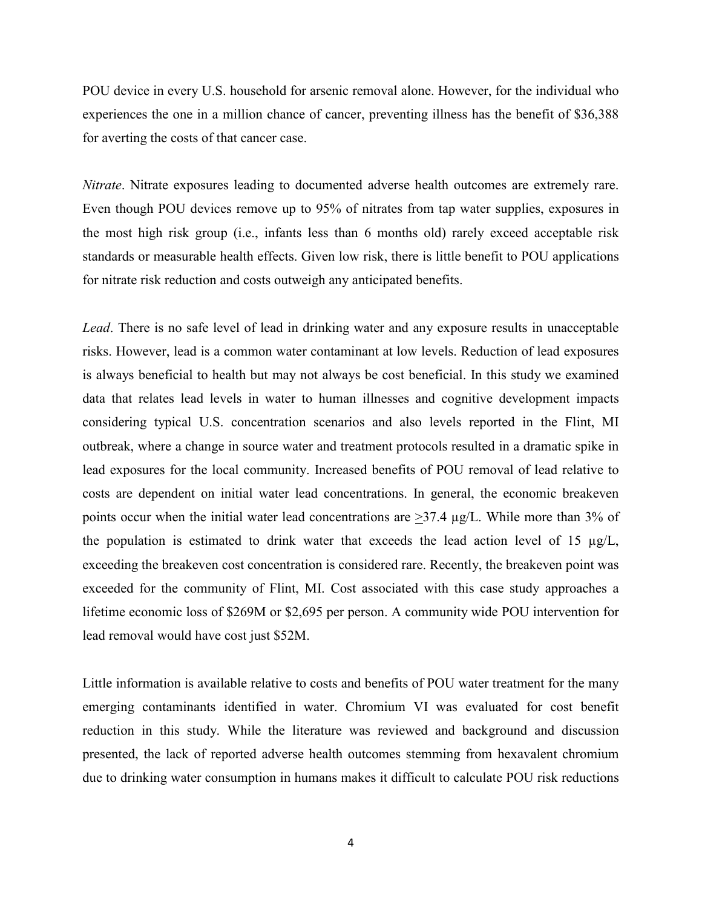POU device in every U.S. household for arsenic removal alone. However, for the individual who experiences the one in a million chance of cancer, preventing illness has the benefit of \$36,388 for averting the costs of that cancer case.

*Nitrate*. Nitrate exposures leading to documented adverse health outcomes are extremely rare. Even though POU devices remove up to 95% of nitrates from tap water supplies, exposures in the most high risk group (i.e., infants less than 6 months old) rarely exceed acceptable risk standards or measurable health effects. Given low risk, there is little benefit to POU applications for nitrate risk reduction and costs outweigh any anticipated benefits.

*Lead*. There is no safe level of lead in drinking water and any exposure results in unacceptable risks. However, lead is a common water contaminant at low levels. Reduction of lead exposures is always beneficial to health but may not always be cost beneficial. In this study we examined data that relates lead levels in water to human illnesses and cognitive development impacts considering typical U.S. concentration scenarios and also levels reported in the Flint, MI outbreak, where a change in source water and treatment protocols resulted in a dramatic spike in lead exposures for the local community. Increased benefits of POU removal of lead relative to costs are dependent on initial water lead concentrations. In general, the economic breakeven points occur when the initial water lead concentrations are  $>37.4$   $\mu$ g/L. While more than 3% of the population is estimated to drink water that exceeds the lead action level of 15  $\mu$ g/L, exceeding the breakeven cost concentration is considered rare. Recently, the breakeven point was exceeded for the community of Flint, MI. Cost associated with this case study approaches a lifetime economic loss of \$269M or \$2,695 per person. A community wide POU intervention for lead removal would have cost just \$52M.

Little information is available relative to costs and benefits of POU water treatment for the many emerging contaminants identified in water. Chromium VI was evaluated for cost benefit reduction in this study. While the literature was reviewed and background and discussion presented, the lack of reported adverse health outcomes stemming from hexavalent chromium due to drinking water consumption in humans makes it difficult to calculate POU risk reductions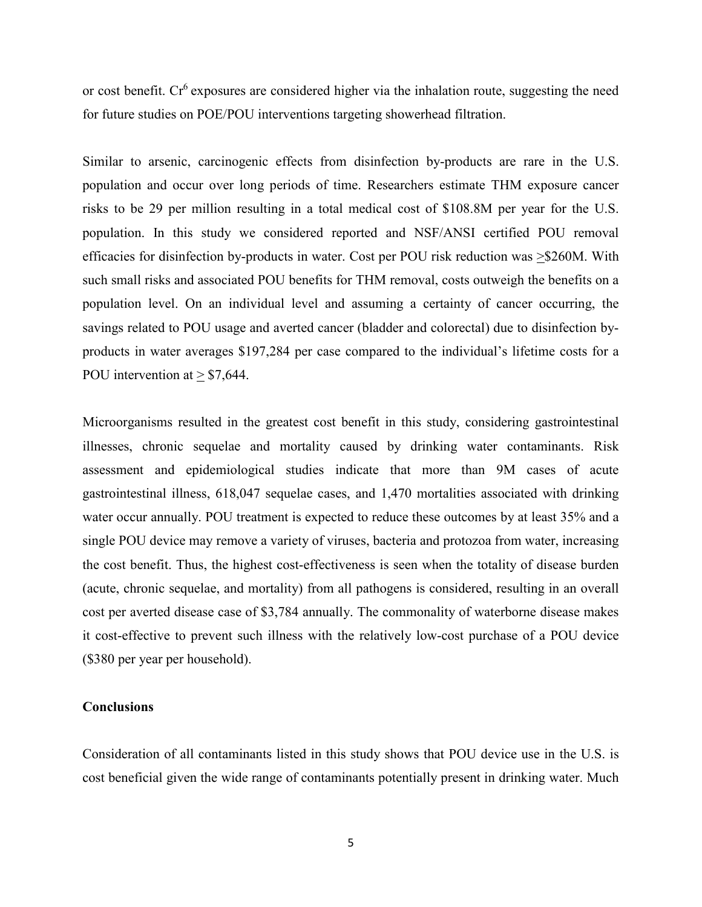or cost benefit.  $Cr^6$  exposures are considered higher via the inhalation route, suggesting the need for future studies on POE/POU interventions targeting showerhead filtration.

Similar to arsenic, carcinogenic effects from disinfection by-products are rare in the U.S. population and occur over long periods of time. Researchers estimate THM exposure cancer risks to be 29 per million resulting in a total medical cost of \$108.8M per year for the U.S. population. In this study we considered reported and NSF/ANSI certified POU removal efficacies for disinfection by-products in water. Cost per POU risk reduction was >\$260M. With such small risks and associated POU benefits for THM removal, costs outweigh the benefits on a population level. On an individual level and assuming a certainty of cancer occurring, the savings related to POU usage and averted cancer (bladder and colorectal) due to disinfection byproducts in water averages \$197,284 per case compared to the individual's lifetime costs for a POU intervention at  $\geq$  \$7,644.

Microorganisms resulted in the greatest cost benefit in this study, considering gastrointestinal illnesses, chronic sequelae and mortality caused by drinking water contaminants. Risk assessment and epidemiological studies indicate that more than 9M cases of acute gastrointestinal illness, 618,047 sequelae cases, and 1,470 mortalities associated with drinking water occur annually. POU treatment is expected to reduce these outcomes by at least 35% and a single POU device may remove a variety of viruses, bacteria and protozoa from water, increasing the cost benefit. Thus, the highest cost-effectiveness is seen when the totality of disease burden (acute, chronic sequelae, and mortality) from all pathogens is considered, resulting in an overall cost per averted disease case of \$3,784 annually. The commonality of waterborne disease makes it cost-effective to prevent such illness with the relatively low-cost purchase of a POU device (\$380 per year per household).

# **Conclusions**

Consideration of all contaminants listed in this study shows that POU device use in the U.S. is cost beneficial given the wide range of contaminants potentially present in drinking water. Much